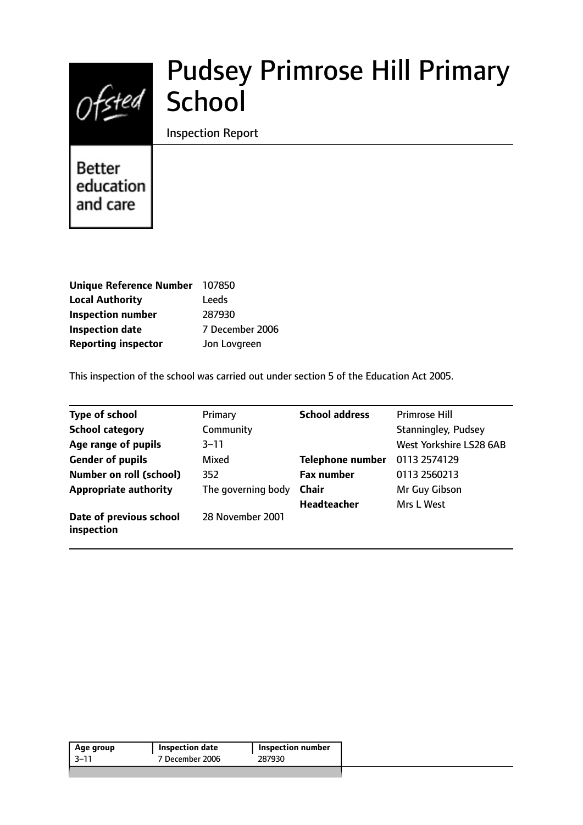# Ofsted School

# Pudsey Primrose Hill Primary

Inspection Report

**Better** education and care

| Unique Reference Number 107850 |                 |
|--------------------------------|-----------------|
| <b>Local Authority</b>         | Leeds           |
| <b>Inspection number</b>       | 287930          |
| <b>Inspection date</b>         | 7 December 2006 |
| <b>Reporting inspector</b>     | Jon Lovgreen    |

This inspection of the school was carried out under section 5 of the Education Act 2005.

| <b>Type of school</b>                 | Primary            | <b>School address</b>   | <b>Primrose Hill</b>       |
|---------------------------------------|--------------------|-------------------------|----------------------------|
| <b>School category</b>                | Community          |                         | <b>Stanningley, Pudsey</b> |
| Age range of pupils                   | $3 - 11$           |                         | West Yorkshire LS28 6AB    |
| <b>Gender of pupils</b>               | Mixed              | <b>Telephone number</b> | 0113 2574129               |
| <b>Number on roll (school)</b>        | 352                | <b>Fax number</b>       | 0113 2560213               |
| <b>Appropriate authority</b>          | The governing body | <b>Chair</b>            | Mr Guy Gibson              |
|                                       |                    | Headteacher             | Mrs L West                 |
| Date of previous school<br>inspection | 28 November 2001   |                         |                            |

| Age group | Inspection date | <b>Inspection number</b> |
|-----------|-----------------|--------------------------|
| -3–11     | 7 December 2006 | 287930                   |
|           |                 |                          |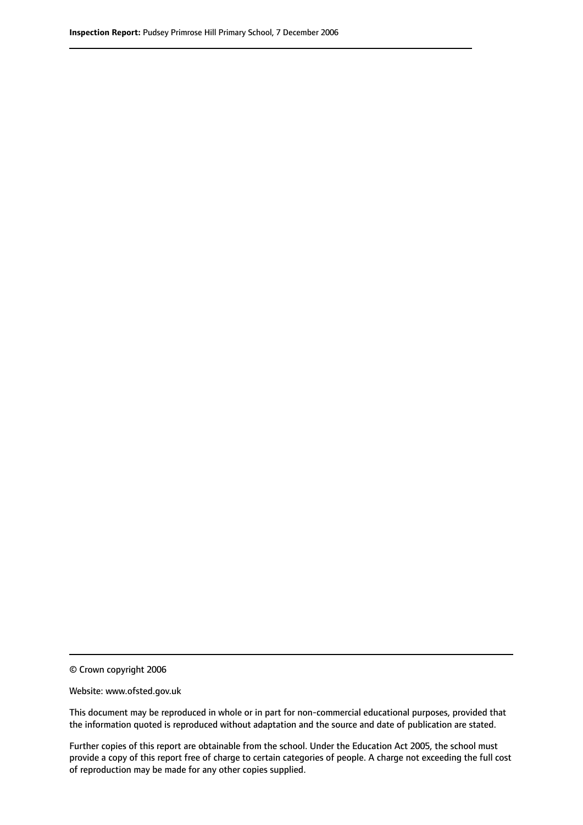© Crown copyright 2006

Website: www.ofsted.gov.uk

This document may be reproduced in whole or in part for non-commercial educational purposes, provided that the information quoted is reproduced without adaptation and the source and date of publication are stated.

Further copies of this report are obtainable from the school. Under the Education Act 2005, the school must provide a copy of this report free of charge to certain categories of people. A charge not exceeding the full cost of reproduction may be made for any other copies supplied.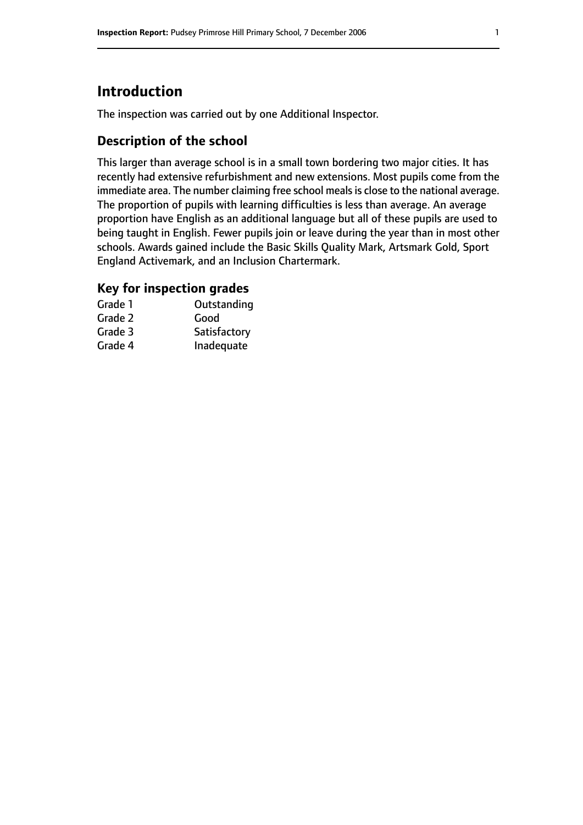# **Introduction**

The inspection was carried out by one Additional Inspector.

#### **Description of the school**

This larger than average school is in a small town bordering two major cities. It has recently had extensive refurbishment and new extensions. Most pupils come from the immediate area. The number claiming free school meals is close to the national average. The proportion of pupils with learning difficulties is less than average. An average proportion have English as an additional language but all of these pupils are used to being taught in English. Fewer pupils join or leave during the year than in most other schools. Awards gained include the Basic Skills Quality Mark, Artsmark Gold, Sport England Activemark, and an Inclusion Chartermark.

#### **Key for inspection grades**

| Grade 1 | Outstanding  |
|---------|--------------|
| Grade 2 | Good         |
| Grade 3 | Satisfactory |
| Grade 4 | Inadequate   |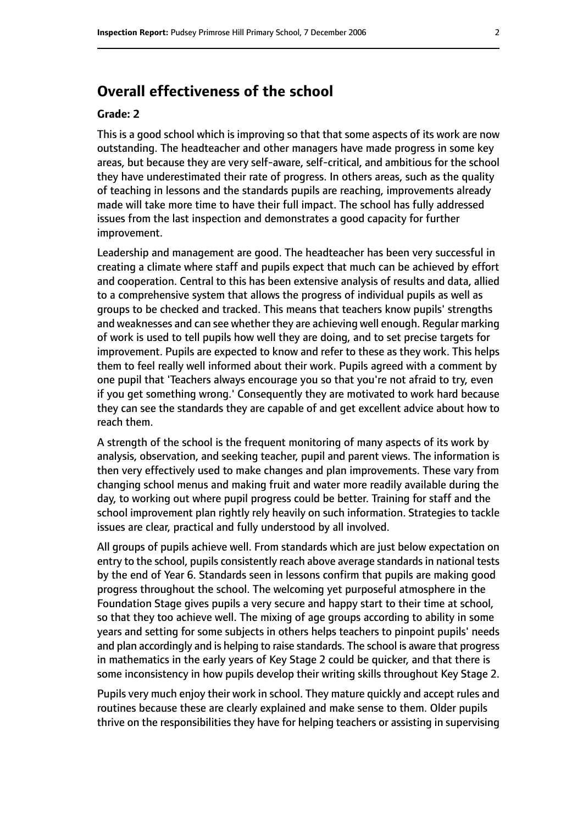# **Overall effectiveness of the school**

#### **Grade: 2**

This is a good school which is improving so that that some aspects of its work are now outstanding. The headteacher and other managers have made progress in some key areas, but because they are very self-aware, self-critical, and ambitious for the school they have underestimated their rate of progress. In others areas, such as the quality of teaching in lessons and the standards pupils are reaching, improvements already made will take more time to have their full impact. The school has fully addressed issues from the last inspection and demonstrates a good capacity for further improvement.

Leadership and management are good. The headteacher has been very successful in creating a climate where staff and pupils expect that much can be achieved by effort and cooperation. Central to this has been extensive analysis of results and data, allied to a comprehensive system that allows the progress of individual pupils as well as groups to be checked and tracked. This means that teachers know pupils' strengths and weaknesses and can see whether they are achieving well enough. Regular marking of work is used to tell pupils how well they are doing, and to set precise targets for improvement. Pupils are expected to know and refer to these as they work. This helps them to feel really well informed about their work. Pupils agreed with a comment by one pupil that 'Teachers always encourage you so that you're not afraid to try, even if you get something wrong.' Consequently they are motivated to work hard because they can see the standards they are capable of and get excellent advice about how to reach them.

A strength of the school is the frequent monitoring of many aspects of its work by analysis, observation, and seeking teacher, pupil and parent views. The information is then very effectively used to make changes and plan improvements. These vary from changing school menus and making fruit and water more readily available during the day, to working out where pupil progress could be better. Training for staff and the school improvement plan rightly rely heavily on such information. Strategies to tackle issues are clear, practical and fully understood by all involved.

All groups of pupils achieve well. From standards which are just below expectation on entry to the school, pupils consistently reach above average standards in national tests by the end of Year 6. Standards seen in lessons confirm that pupils are making good progress throughout the school. The welcoming yet purposeful atmosphere in the Foundation Stage gives pupils a very secure and happy start to their time at school, so that they too achieve well. The mixing of age groups according to ability in some years and setting for some subjects in others helps teachers to pinpoint pupils' needs and plan accordingly and is helping to raise standards. The school is aware that progress in mathematics in the early years of Key Stage 2 could be quicker, and that there is some inconsistency in how pupils develop their writing skills throughout Key Stage 2.

Pupils very much enjoy their work in school. They mature quickly and accept rules and routines because these are clearly explained and make sense to them. Older pupils thrive on the responsibilities they have for helping teachers or assisting in supervising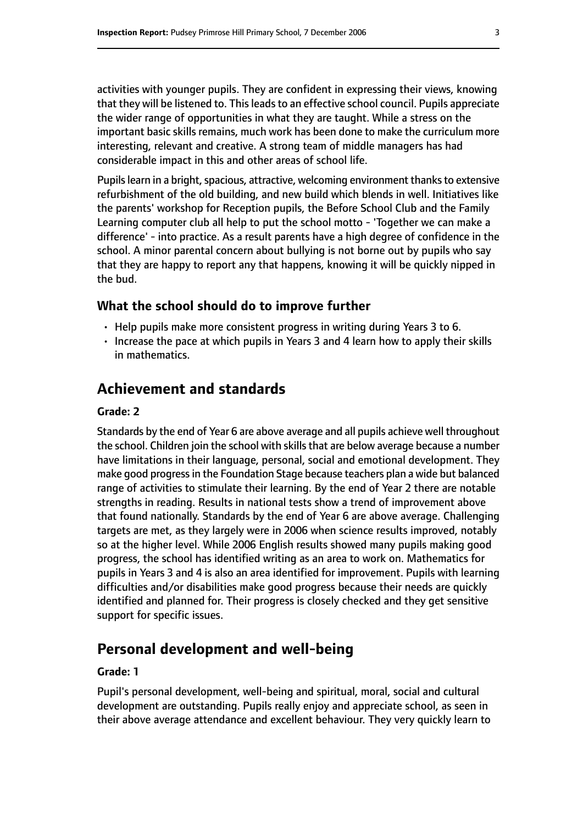activities with younger pupils. They are confident in expressing their views, knowing that they will be listened to. This leads to an effective school council. Pupils appreciate the wider range of opportunities in what they are taught. While a stress on the important basic skills remains, much work has been done to make the curriculum more interesting, relevant and creative. A strong team of middle managers has had considerable impact in this and other areas of school life.

Pupils learn in a bright, spacious, attractive, welcoming environment thanks to extensive refurbishment of the old building, and new build which blends in well. Initiatives like the parents' workshop for Reception pupils, the Before School Club and the Family Learning computer club all help to put the school motto - 'Together we can make a difference' - into practice. As a result parents have a high degree of confidence in the school. A minor parental concern about bullying is not borne out by pupils who say that they are happy to report any that happens, knowing it will be quickly nipped in the bud.

#### **What the school should do to improve further**

- Help pupils make more consistent progress in writing during Years 3 to 6.
- Increase the pace at which pupils in Years 3 and 4 learn how to apply their skills in mathematics.

### **Achievement and standards**

#### **Grade: 2**

Standards by the end of Year 6 are above average and all pupils achieve well throughout the school. Children join the school with skills that are below average because a number have limitations in their language, personal, social and emotional development. They make good progressin the Foundation Stage because teachers plan a wide but balanced range of activities to stimulate their learning. By the end of Year 2 there are notable strengths in reading. Results in national tests show a trend of improvement above that found nationally. Standards by the end of Year 6 are above average. Challenging targets are met, as they largely were in 2006 when science results improved, notably so at the higher level. While 2006 English results showed many pupils making good progress, the school has identified writing as an area to work on. Mathematics for pupils in Years 3 and 4 is also an area identified for improvement. Pupils with learning difficulties and/or disabilities make good progress because their needs are quickly identified and planned for. Their progress is closely checked and they get sensitive support for specific issues.

### **Personal development and well-being**

#### **Grade: 1**

Pupil's personal development, well-being and spiritual, moral, social and cultural development are outstanding. Pupils really enjoy and appreciate school, as seen in their above average attendance and excellent behaviour. They very quickly learn to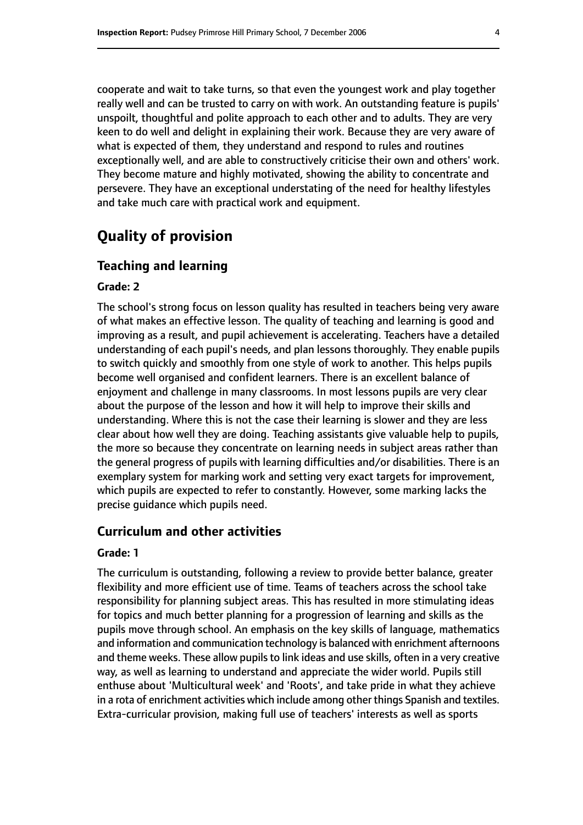cooperate and wait to take turns, so that even the youngest work and play together really well and can be trusted to carry on with work. An outstanding feature is pupils' unspoilt, thoughtful and polite approach to each other and to adults. They are very keen to do well and delight in explaining their work. Because they are very aware of what is expected of them, they understand and respond to rules and routines exceptionally well, and are able to constructively criticise their own and others' work. They become mature and highly motivated, showing the ability to concentrate and persevere. They have an exceptional understating of the need for healthy lifestyles and take much care with practical work and equipment.

# **Quality of provision**

#### **Teaching and learning**

#### **Grade: 2**

The school's strong focus on lesson quality has resulted in teachers being very aware of what makes an effective lesson. The quality of teaching and learning is good and improving as a result, and pupil achievement is accelerating. Teachers have a detailed understanding of each pupil's needs, and plan lessons thoroughly. They enable pupils to switch quickly and smoothly from one style of work to another. This helps pupils become well organised and confident learners. There is an excellent balance of enjoyment and challenge in many classrooms. In most lessons pupils are very clear about the purpose of the lesson and how it will help to improve their skills and understanding. Where this is not the case their learning is slower and they are less clear about how well they are doing. Teaching assistants give valuable help to pupils, the more so because they concentrate on learning needs in subject areas rather than the general progress of pupils with learning difficulties and/or disabilities. There is an exemplary system for marking work and setting very exact targets for improvement, which pupils are expected to refer to constantly. However, some marking lacks the precise guidance which pupils need.

#### **Curriculum and other activities**

#### **Grade: 1**

The curriculum is outstanding, following a review to provide better balance, greater flexibility and more efficient use of time. Teams of teachers across the school take responsibility for planning subject areas. This has resulted in more stimulating ideas for topics and much better planning for a progression of learning and skills as the pupils move through school. An emphasis on the key skills of language, mathematics and information and communication technology is balanced with enrichment afternoons and theme weeks. These allow pupils to link ideas and use skills, often in a very creative way, as well as learning to understand and appreciate the wider world. Pupils still enthuse about 'Multicultural week' and 'Roots', and take pride in what they achieve in a rota of enrichment activities which include among other things Spanish and textiles. Extra-curricular provision, making full use of teachers' interests as well as sports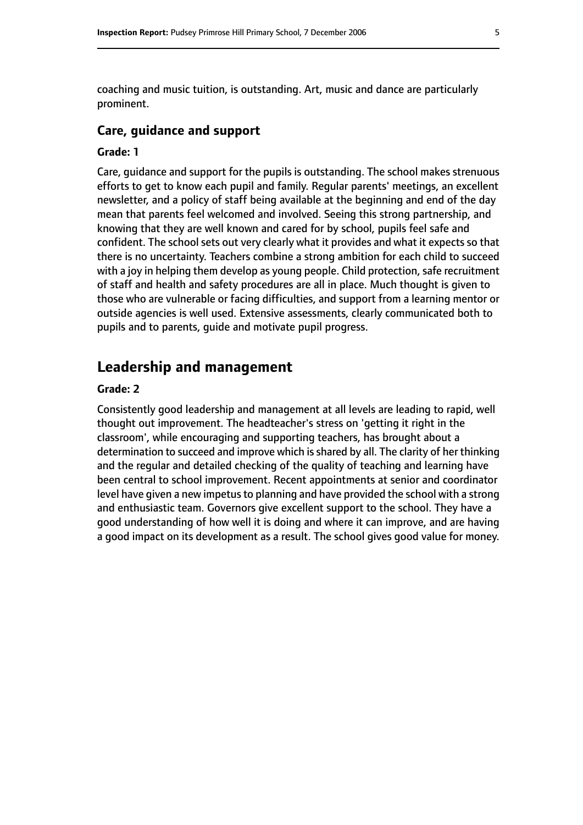coaching and music tuition, is outstanding. Art, music and dance are particularly prominent.

#### **Care, guidance and support**

#### **Grade: 1**

Care, guidance and support for the pupils is outstanding. The school makes strenuous efforts to get to know each pupil and family. Regular parents' meetings, an excellent newsletter, and a policy of staff being available at the beginning and end of the day mean that parents feel welcomed and involved. Seeing this strong partnership, and knowing that they are well known and cared for by school, pupils feel safe and confident. The school sets out very clearly what it provides and what it expects so that there is no uncertainty. Teachers combine a strong ambition for each child to succeed with a joy in helping them develop as young people. Child protection, safe recruitment of staff and health and safety procedures are all in place. Much thought is given to those who are vulnerable or facing difficulties, and support from a learning mentor or outside agencies is well used. Extensive assessments, clearly communicated both to pupils and to parents, guide and motivate pupil progress.

## **Leadership and management**

#### **Grade: 2**

Consistently good leadership and management at all levels are leading to rapid, well thought out improvement. The headteacher's stress on 'getting it right in the classroom', while encouraging and supporting teachers, has brought about a determination to succeed and improve which is shared by all. The clarity of her thinking and the regular and detailed checking of the quality of teaching and learning have been central to school improvement. Recent appointments at senior and coordinator level have given a new impetus to planning and have provided the school with a strong and enthusiastic team. Governors give excellent support to the school. They have a good understanding of how well it is doing and where it can improve, and are having a good impact on its development as a result. The school gives good value for money.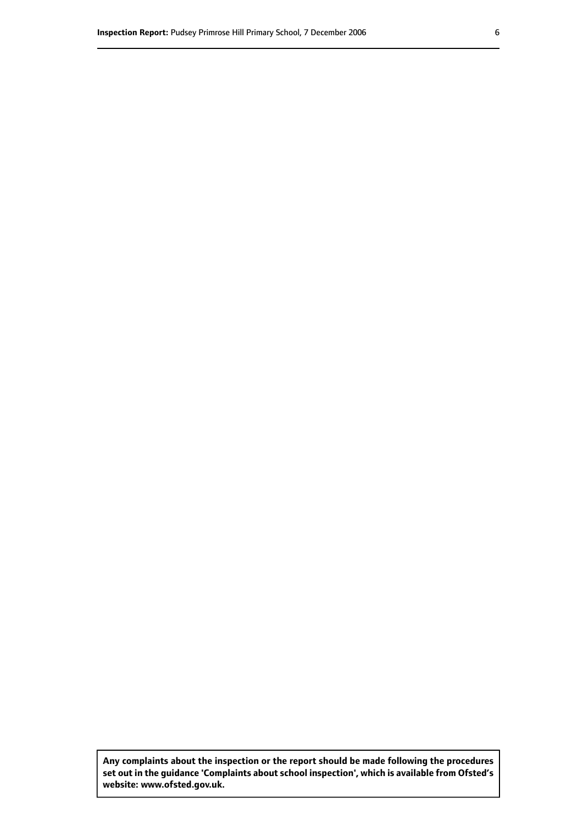**Any complaints about the inspection or the report should be made following the procedures set out inthe guidance 'Complaints about school inspection', whichis available from Ofsted's website: www.ofsted.gov.uk.**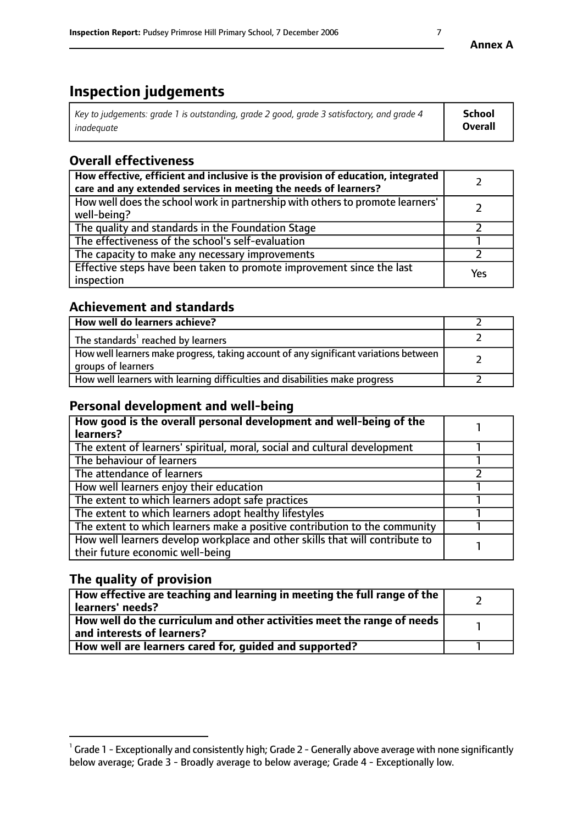# **Inspection judgements**

| Key to judgements: grade 1 is outstanding, grade 2 good, grade 3 satisfactory, and grade 4 | School         |
|--------------------------------------------------------------------------------------------|----------------|
| inadeauate                                                                                 | <b>Overall</b> |

# **Overall effectiveness**

| How effective, efficient and inclusive is the provision of education, integrated<br>care and any extended services in meeting the needs of learners? |     |
|------------------------------------------------------------------------------------------------------------------------------------------------------|-----|
| How well does the school work in partnership with others to promote learners'<br>well-being?                                                         |     |
| The quality and standards in the Foundation Stage                                                                                                    |     |
| The effectiveness of the school's self-evaluation                                                                                                    |     |
| The capacity to make any necessary improvements                                                                                                      |     |
| Effective steps have been taken to promote improvement since the last<br>inspection                                                                  | Yes |

# **Achievement and standards**

| How well do learners achieve?                                                                               |  |
|-------------------------------------------------------------------------------------------------------------|--|
| The standards <sup>1</sup> reached by learners                                                              |  |
| How well learners make progress, taking account of any significant variations between<br>groups of learners |  |
| How well learners with learning difficulties and disabilities make progress                                 |  |

# **Personal development and well-being**

| How good is the overall personal development and well-being of the<br>learners?                                  |  |
|------------------------------------------------------------------------------------------------------------------|--|
| The extent of learners' spiritual, moral, social and cultural development                                        |  |
| The behaviour of learners                                                                                        |  |
| The attendance of learners                                                                                       |  |
| How well learners enjoy their education                                                                          |  |
| The extent to which learners adopt safe practices                                                                |  |
| The extent to which learners adopt healthy lifestyles                                                            |  |
| The extent to which learners make a positive contribution to the community                                       |  |
| How well learners develop workplace and other skills that will contribute to<br>their future economic well-being |  |

# **The quality of provision**

| How effective are teaching and learning in meeting the full range of the<br>  learners' needs?                      |  |
|---------------------------------------------------------------------------------------------------------------------|--|
| $\mid$ How well do the curriculum and other activities meet the range of needs<br>$\mid$ and interests of learners? |  |
| How well are learners cared for, guided and supported?                                                              |  |

 $^1$  Grade 1 - Exceptionally and consistently high; Grade 2 - Generally above average with none significantly below average; Grade 3 - Broadly average to below average; Grade 4 - Exceptionally low.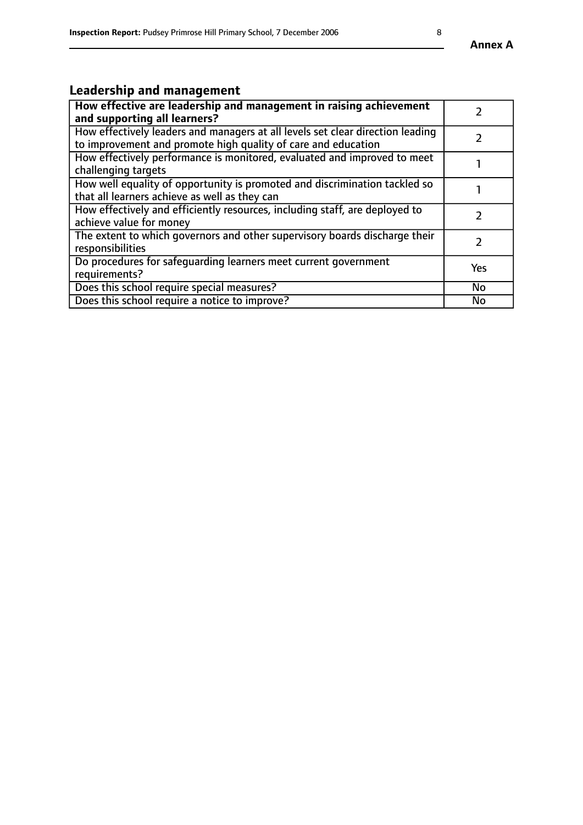# **Leadership and management**

| How effective are leadership and management in raising achievement<br>and supporting all learners?                                              |     |
|-------------------------------------------------------------------------------------------------------------------------------------------------|-----|
| How effectively leaders and managers at all levels set clear direction leading<br>to improvement and promote high quality of care and education |     |
| How effectively performance is monitored, evaluated and improved to meet<br>challenging targets                                                 |     |
| How well equality of opportunity is promoted and discrimination tackled so<br>that all learners achieve as well as they can                     |     |
| How effectively and efficiently resources, including staff, are deployed to<br>achieve value for money                                          |     |
| The extent to which governors and other supervisory boards discharge their<br>responsibilities                                                  |     |
| Do procedures for safequarding learners meet current government<br>requirements?                                                                | Yes |
| Does this school require special measures?                                                                                                      | No  |
| Does this school require a notice to improve?                                                                                                   | No  |